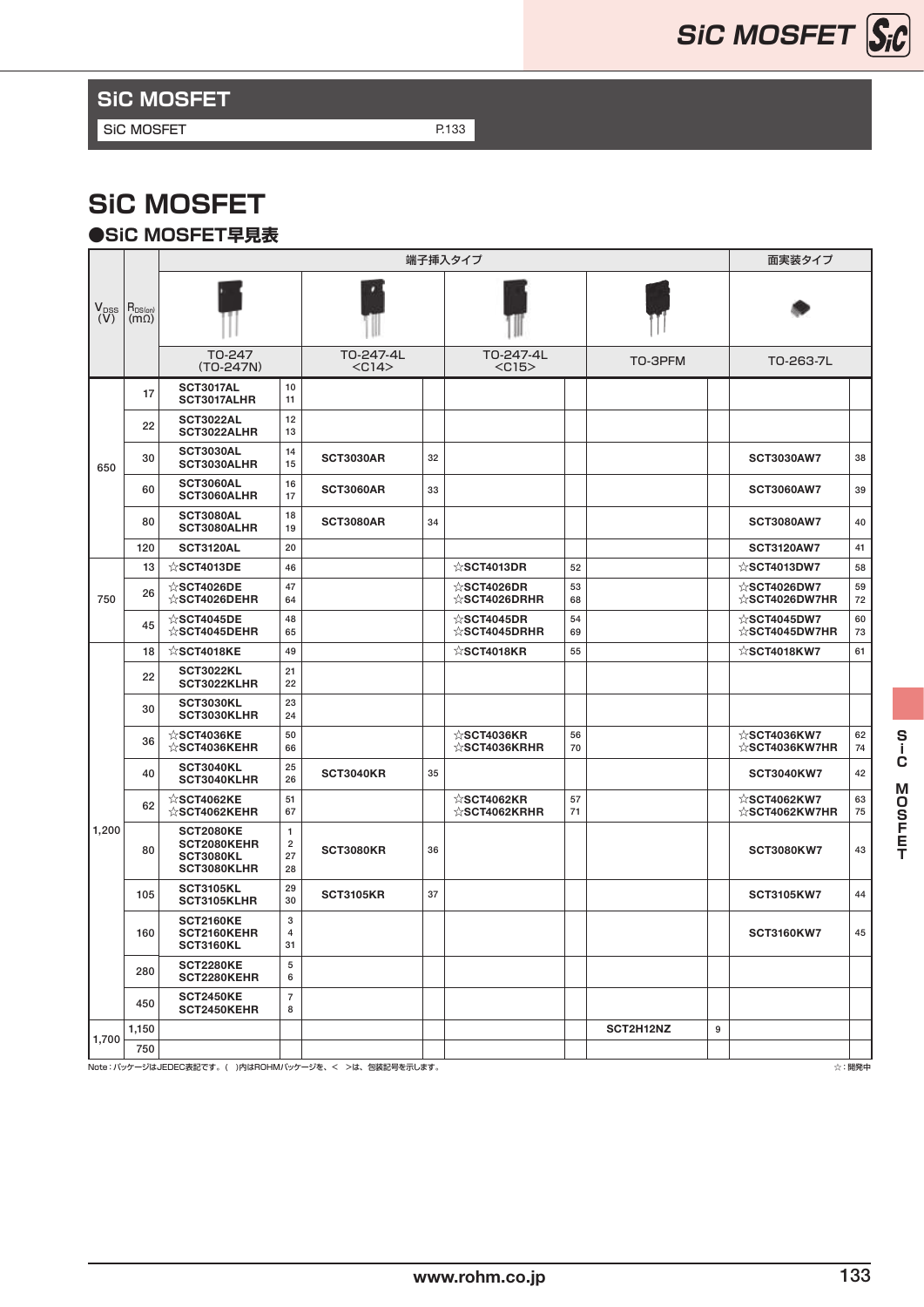

## **SiC MOSFET**

SIC MOSFET P.133

# **SiC MOSFET**

### **●SiC MOSFET早見表**

|                    | $R_{DS(on)}$<br>$(m\Omega)$ |                                                                    | 面実装タイプ                          |                          |    |                                                  |          |           |   |                                                           |          |
|--------------------|-----------------------------|--------------------------------------------------------------------|---------------------------------|--------------------------|----|--------------------------------------------------|----------|-----------|---|-----------------------------------------------------------|----------|
| $V_{DSS}$<br>$(V)$ |                             |                                                                    |                                 |                          |    |                                                  |          |           |   |                                                           |          |
|                    |                             | T0-247<br>$(TO-247N)$                                              |                                 | TO-247-4L<br>$<$ C14 $>$ |    | T0-247-4L<br>$<$ C15 $>$                         |          | TO-3PFM   |   | T0-263-7L                                                 |          |
|                    | 17                          | <b>SCT3017AL</b><br>SCT3017ALHR                                    | 10<br>11                        |                          |    |                                                  |          |           |   |                                                           |          |
|                    | 22                          | SCT3022AL<br>SCT3022ALHR                                           | 12<br>13                        |                          |    |                                                  |          |           |   |                                                           |          |
| 650                | 30                          | SCT3030AL<br>SCT3030ALHR                                           | 14<br>15                        | <b>SCT3030AR</b>         | 32 |                                                  |          |           |   | <b>SCT3030AW7</b>                                         | 38       |
|                    | 60                          | SCT3060AL<br>SCT3060ALHR                                           | 16<br>17                        | <b>SCT3060AR</b>         | 33 |                                                  |          |           |   | <b>SCT3060AW7</b>                                         | 39       |
|                    | 80                          | SCT3080AL<br>SCT3080ALHR                                           | 18<br>19                        | <b>SCT3080AR</b>         | 34 |                                                  |          |           |   | <b>SCT3080AW7</b>                                         | 40       |
|                    | 120                         | SCT3120AL                                                          | 20                              |                          |    |                                                  |          |           |   | <b>SCT3120AW7</b>                                         | 41       |
|                    | 13                          | $\triangle$ SCT4013DE                                              | 46                              |                          |    | $\triangle$ SCT4013DR                            | 52       |           |   | $\triangle$ SCT4013DW7                                    | 58       |
| 750                | 26                          | $\&$ SCT4026DE<br>☆SCT4026DEHR                                     | 47<br>64                        |                          |    | $\&$ SCT4026DR<br>☆SCT4026DRHR                   | 53<br>68 |           |   | $\&$ SCT4026DW7<br>☆SCT4026DW7HR                          | 59<br>72 |
|                    | 45                          | $\triangle$ SCT4045DE<br>$\triangle$ SCT4045DEHR                   | 48<br>65                        |                          |    | $\&$ SCT4045DR<br>$\&$ SCT4045DRHR               | 54<br>69 |           |   | $\&$ SCT4045DW7<br>$\triangle$ SCT4045DW7HR               | 60<br>73 |
|                    | 18                          | $\triangle$ SCT4018KE                                              | 49                              |                          |    | $\triangle$ SCT4018KR                            | 55       |           |   | $\triangle$ SCT4018KW7                                    | 61       |
|                    | 22                          | SCT3022KL<br>SCT3022KLHR                                           | 21<br>22                        |                          |    |                                                  |          |           |   |                                                           |          |
|                    | 30                          | <b>SCT3030KL</b><br>SCT3030KLHR                                    | 23<br>24                        |                          |    |                                                  |          |           |   |                                                           |          |
|                    | 36                          | $\triangle$ SCT4036KE<br>☆SCT4036KEHR                              | 50<br>66                        |                          |    | $\triangle$ SCT4036KR<br>$\triangle$ SCT4036KRHR | 56<br>70 |           |   | $\triangle$ SCT4036KW7<br>$\triangle$ SCT4036KW7HR        | 62<br>74 |
|                    | 40                          | <b>SCT3040KL</b><br>SCT3040KLHR                                    | 25<br>26                        | <b>SCT3040KR</b>         | 35 |                                                  |          |           |   | <b>SCT3040KW7</b>                                         | 42       |
|                    | 62                          | $\triangle$ SCT4062KE<br>$\&$ SCT4062KEHR                          | 51<br>67                        |                          |    | $\triangle$ SCT4062KR<br>$\triangle$ SCT4062KRHR | 57<br>71 |           |   | $\hat{\mathbb{X}}$ SCT4062KW7<br>$\triangle$ SCT4062KW7HR | 63<br>75 |
| 1,200              | 80                          | <b>SCT2080KE</b><br>SCT2080KEHR<br><b>SCT3080KL</b><br>SCT3080KLHR | 1<br>$\overline{2}$<br>27<br>28 | <b>SCT3080KR</b>         | 36 |                                                  |          |           |   | <b>SCT3080KW7</b>                                         | 43       |
|                    | 105                         | <b>SCT3105KL</b><br>SCT3105KLHR                                    | 29<br>30                        | <b>SCT3105KR</b>         | 37 |                                                  |          |           |   | <b>SCT3105KW7</b>                                         | 44       |
|                    | 160                         | <b>SCT2160KE</b><br>SCT2160KEHR<br><b>SCT3160KL</b>                | 3<br>4<br>31                    |                          |    |                                                  |          |           |   | <b>SCT3160KW7</b>                                         | 45       |
|                    | 280                         | <b>SCT2280KE</b><br>SCT2280KEHR                                    | 5<br>6                          |                          |    |                                                  |          |           |   |                                                           |          |
|                    | 450                         | <b>SCT2450KE</b><br>SCT2450KEHR                                    | $\boldsymbol{7}$<br>8           |                          |    |                                                  |          |           |   |                                                           |          |
|                    | 1,150                       |                                                                    |                                 |                          |    |                                                  |          | SCT2H12NZ | 9 |                                                           |          |
| 1,700              | 750                         |                                                                    |                                 |                          |    |                                                  |          |           |   |                                                           |          |

Note:パッケージはJEDEC表記です。( )内はROHMパッケージを、< >は、包装記号を示します。 ☆:開発中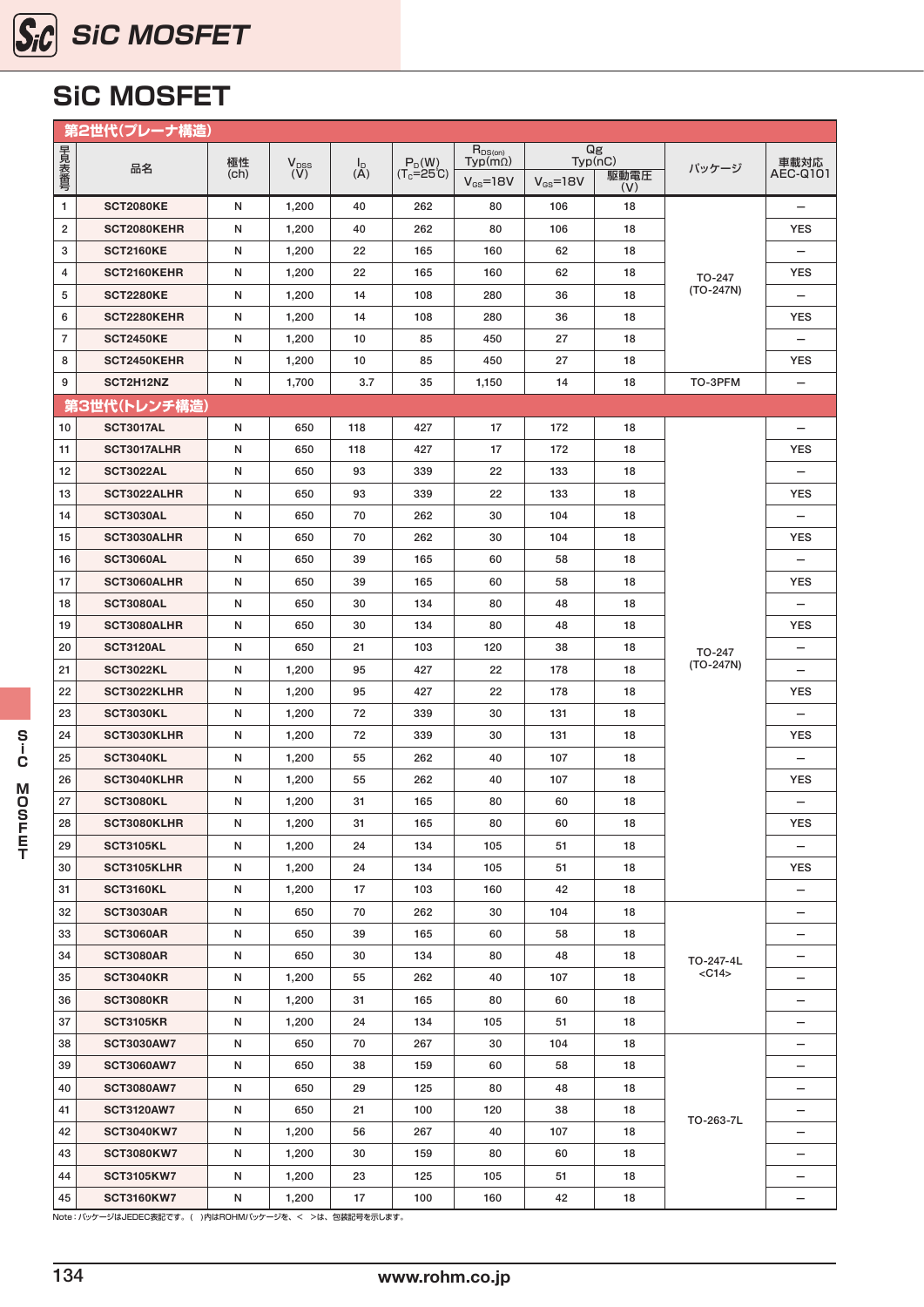## **SiC MOSFET**

|                         | 第2世代(プレーナ構造)       |            |                    |                                          |                                 |                                |               |            |                          |                          |  |  |  |
|-------------------------|--------------------|------------|--------------------|------------------------------------------|---------------------------------|--------------------------------|---------------|------------|--------------------------|--------------------------|--|--|--|
| 早見表番号                   | 品名                 | 極性<br>(ch) | $V_{DSS}$<br>$(V)$ | $\begin{pmatrix} I_D \\ A \end{pmatrix}$ | $P_D(W)$<br>$(T_c=25^{\circ}C)$ | $R_{DS(on)}$<br>$Typ(m\Omega)$ | Typ(nc)       | Qg<br>駆動電圧 | パッケージ                    |                          |  |  |  |
|                         |                    |            |                    |                                          |                                 | $V_{GS}$ =18V                  | $V_{GS}$ =18V | (V)        |                          | AEC-Q101                 |  |  |  |
| $\mathbf{1}$            | <b>SCT2080KE</b>   | N          | 1,200              | 40                                       | 262                             | 80                             | 106           | 18         |                          |                          |  |  |  |
| $\overline{\mathbf{c}}$ | SCT2080KEHR        | N          | 1,200              | 40                                       | 262                             | 80                             | 106           | 18         |                          | <b>YES</b>               |  |  |  |
| 3                       | <b>SCT2160KE</b>   | N          | 1,200              | 22                                       | 165                             | 160                            | 62            | 18         |                          |                          |  |  |  |
| 4                       | SCT2160KEHR        | N          | 1,200              | 22                                       | 165                             | 160                            | 62            | 18         | TO-247                   | <b>YES</b>               |  |  |  |
| 5                       | <b>SCT2280KE</b>   | N          | 1,200              | 14                                       | 108                             | 280                            | 36            | 18         | (TO-247N)                | $\overline{\phantom{0}}$ |  |  |  |
| 6                       | SCT2280KEHR        | N          | 1,200              | 14                                       | 108                             | 280                            | 36            | 18         |                          | <b>YES</b>               |  |  |  |
| $\overline{7}$          | <b>SCT2450KE</b>   | N          | 1,200              | 10                                       | 85                              | 450                            | 27            | 18         |                          |                          |  |  |  |
| 8                       | SCT2450KEHR        | N          | 1,200              | 10                                       | 85                              | 450                            | 27            | 18         |                          | <b>YES</b>               |  |  |  |
| 9                       | SCT2H12NZ          | N          | 1,700              | 3.7                                      | 35                              | 1,150                          | 14            | 18         | TO-3PFM                  |                          |  |  |  |
| 第3世代(トレンチ構造)            |                    |            |                    |                                          |                                 |                                |               |            |                          |                          |  |  |  |
| 10                      | SCT3017AL          | N          | 650                | 118                                      | 427                             | 17                             | 172           | 18         |                          |                          |  |  |  |
| 11                      | SCT3017ALHR        | N          | 650                | 118                                      | 427                             | 17                             | 172           | 18         |                          | <b>YES</b>               |  |  |  |
| 12                      | <b>SCT3022AL</b>   | N          | 650                | 93                                       | 339                             | 22                             | 133           | 18         |                          |                          |  |  |  |
| 13                      | SCT3022ALHR        | N          | 650                | 93                                       | 339                             | 22                             | 133           | 18         |                          | <b>YES</b>               |  |  |  |
| 14                      | SCT3030AL          | N          | 650                | 70                                       | 262                             | 30                             | 104           | 18         |                          | $\overline{\phantom{0}}$ |  |  |  |
| 15                      | SCT3030ALHR        | N          | 650                | 70                                       | 262                             | 30                             | 104           | 18         |                          | <b>YES</b>               |  |  |  |
| 16                      | <b>SCT3060AL</b>   | N          | 650                | 39                                       | 165                             | 60                             | 58            | 18         |                          |                          |  |  |  |
| 17                      | SCT3060ALHR        | N          | 650                | 39                                       | 165                             | 60                             | 58            | 18         |                          | <b>YES</b>               |  |  |  |
| 18                      | SCT3080AL          | N          | 650                | 30                                       | 134                             | 80                             | 48            | 18         |                          |                          |  |  |  |
| 19                      | SCT3080ALHR        | N          | 650                | 30                                       | 134                             | 80                             | 48            | 18         |                          | <b>YES</b>               |  |  |  |
| 20                      | SCT3120AL          | N          | 650                | 21                                       | 103                             | 120                            | 38            | 18         | TO-247                   | $\overline{\phantom{0}}$ |  |  |  |
| 21                      | SCT3022KL          | N          | 1,200              | 95                                       | 427                             | 22                             | 178           | 18         | (TO-247N)                |                          |  |  |  |
| 22                      | SCT3022KLHR        | N          | 1,200              | 95                                       | 427                             | 22                             | 178           | 18         |                          | <b>YES</b>               |  |  |  |
| 23                      | SCT3030KL          | N          | 1,200              | 72                                       | 339                             | 30                             | 131           | 18         |                          |                          |  |  |  |
| 24                      | SCT3030KLHR        | N          | 1,200              | 72                                       | 339                             | 30                             | 131           | 18         |                          | <b>YES</b>               |  |  |  |
| 25                      | <b>SCT3040KL</b>   | N          | 1,200              | 55                                       | 262                             | 40                             | 107           | 18         |                          | —                        |  |  |  |
| 26                      | SCT3040KLHR        | N          | 1,200              | 55                                       | 262                             | 40                             | 107           | 18         |                          | <b>YES</b>               |  |  |  |
| 27                      | <b>SCT3080KL</b>   | N          | 1,200              | 31                                       | 165                             | 80                             | 60            | 18         |                          |                          |  |  |  |
| 28                      | <b>SCT3080KLHR</b> | N          | 1,200              | 31                                       | 165                             | 80                             | 60            | 18         |                          | YES                      |  |  |  |
| 29                      | <b>SCT3105KL</b>   | N          | 1,200              | 24                                       | 134                             | 105                            | 51            | 18         |                          |                          |  |  |  |
| 30                      | SCT3105KLHR        | N          | 1,200              | 24                                       | 134                             | 105                            | 51            | 18         |                          | <b>YES</b>               |  |  |  |
| 31                      | SCT3160KL          | N          | 1,200              | 17                                       | 103                             | 160                            | 42            | 18         |                          | $-$                      |  |  |  |
| 32                      | <b>SCT3030AR</b>   | N          | 650                | 70                                       | 262                             | 30                             | 104           | 18         |                          | —                        |  |  |  |
| 33                      | <b>SCT3060AR</b>   | N          | 650                | 39                                       | 165                             | 60                             | 58            | 18         |                          | $\overline{\phantom{0}}$ |  |  |  |
| 34                      | <b>SCT3080AR</b>   | N          | 650                | 30                                       | 134                             | 80                             | 48            | 18         | TO-247-4L<br>$<$ C14 $>$ | $\qquad \qquad$          |  |  |  |
| 35                      | <b>SCT3040KR</b>   | N          | 1,200              | 55                                       | 262                             | 40                             | 107           | 18         |                          |                          |  |  |  |
| 36                      | <b>SCT3080KR</b>   | N          | 1,200              | 31                                       | 165                             | 80                             | 60            | 18         |                          | $\qquad \qquad$          |  |  |  |
| 37                      | <b>SCT3105KR</b>   | N          | 1,200              | 24                                       | 134                             | 105                            | 51            | 18         |                          |                          |  |  |  |
| 38                      | <b>SCT3030AW7</b>  | N          | 650                | 70                                       | 267                             | 30                             | 104           | 18         |                          | $\overline{\phantom{0}}$ |  |  |  |
| 39                      | <b>SCT3060AW7</b>  | N          | 650                | 38                                       | 159                             | 60                             | 58            | 18         |                          | $\qquad \qquad -$        |  |  |  |
| 40                      | <b>SCT3080AW7</b>  | N          | 650                | 29                                       | 125                             | 80                             | 48            | 18         |                          | -                        |  |  |  |
| 41                      | <b>SCT3120AW7</b>  | N          | 650                | 21                                       | 100                             | 120                            | 38            | 18         | TO-263-7L                |                          |  |  |  |
| 42                      | <b>SCT3040KW7</b>  | N          | 1,200              | 56                                       | 267                             | 40                             | 107           | 18         |                          | $\overline{\phantom{0}}$ |  |  |  |
| 43                      | <b>SCT3080KW7</b>  | N          | 1,200              | 30                                       | 159                             | 80                             | 60            | 18         |                          | —                        |  |  |  |
| 44                      | <b>SCT3105KW7</b>  | N          | 1,200              | 23                                       | 125                             | 105                            | 51            | 18         |                          | $\overline{\phantom{0}}$ |  |  |  |
| 45                      | <b>SCT3160KW7</b>  | N          | 1,200              | 17                                       | 100                             | 160                            | 42            | 18         |                          | -                        |  |  |  |

Note:パッケージはJEDEC表記です。( )内はROHMパッケージを、< >は、包装記号を示します。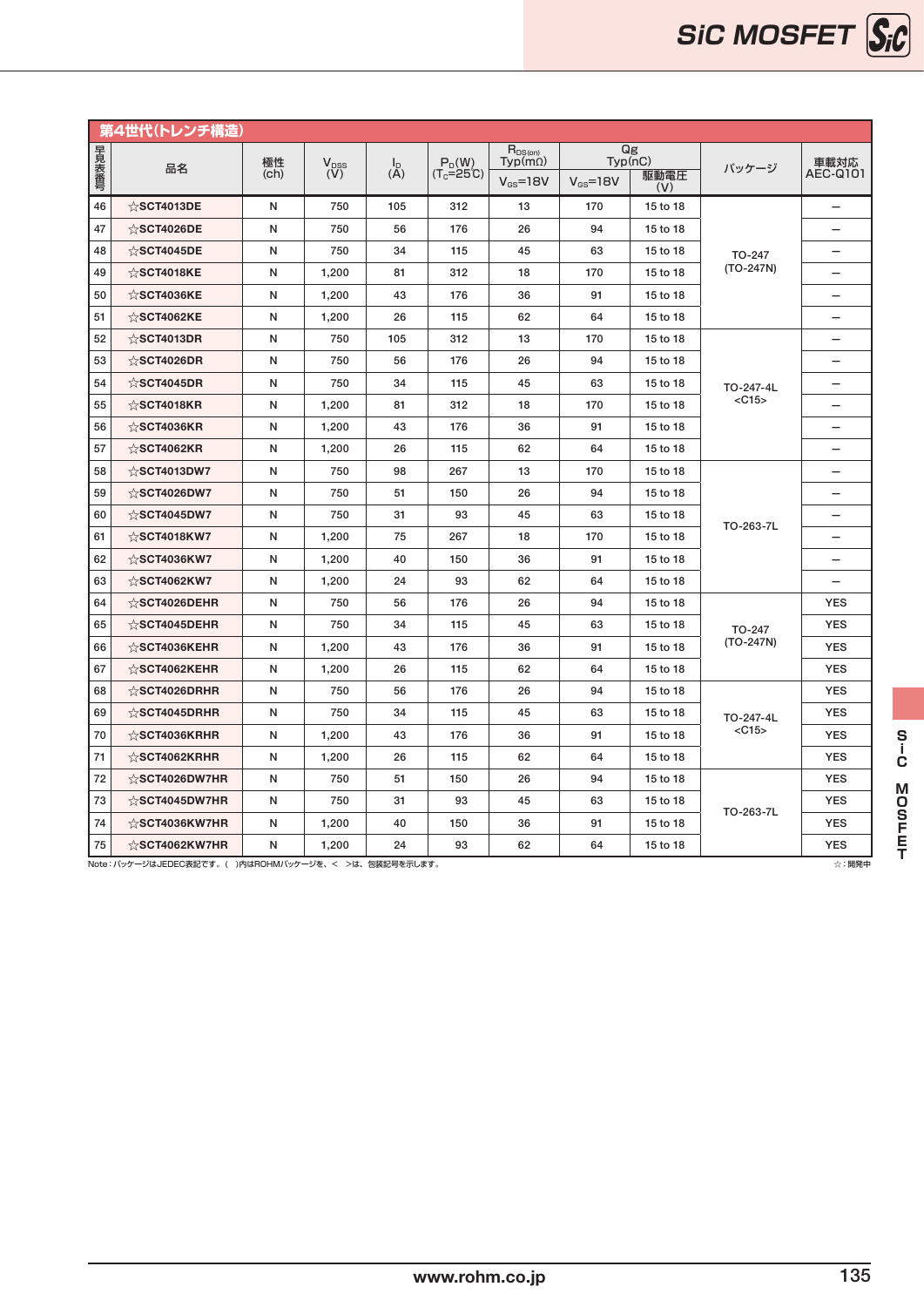|       | 第4世代(トレンチ構造)                                         |              |                    |                                          |                                    |                                          |               |             |                          |                          |
|-------|------------------------------------------------------|--------------|--------------------|------------------------------------------|------------------------------------|------------------------------------------|---------------|-------------|--------------------------|--------------------------|
| 早見表番号 | 品名                                                   | 極性<br>(ch)   | $V_{DSS}$<br>$(V)$ | $\begin{matrix} I_D \\ (A) \end{matrix}$ | $P_D(W)$<br>(T <sub>C</sub> =25°C) | $R_{D\frac{G}{2}(on)}$<br>$Typ(m\Omega)$ | Typ(nc)       | Qg          | パッケージ                    | 車載対応<br>AEC-Q101         |
|       |                                                      |              |                    |                                          |                                    | $V_{GS}$ =18V                            | $V_{GS}$ =18V | 駆動電圧<br>(V) |                          |                          |
| 46    | ☆SCT4013DE                                           | N            | 750                | 105                                      | 312                                | 13                                       | 170           | 15 to 18    | TO-247<br>(TO-247N)      | $\overline{\phantom{0}}$ |
| 47    | ☆SCT4026DE                                           | N            | 750                | 56                                       | 176                                | 26                                       | 94            | 15 to 18    |                          |                          |
| 48    | ☆SCT4045DE                                           | $\mathsf{N}$ | 750                | 34                                       | 115                                | 45                                       | 63            | 15 to 18    |                          |                          |
| 49    | $\&$ SCT4018KE                                       | N            | 1,200              | 81                                       | 312                                | 18                                       | 170           | 15 to 18    |                          | $\overline{\phantom{0}}$ |
| 50    | $\&$ SCT4036KE                                       | N            | 1,200              | 43                                       | 176                                | 36                                       | 91            | 15 to 18    |                          | $\qquad \qquad -$        |
| 51    | ☆SCT4062KE                                           | N            | 1,200              | 26                                       | 115                                | 62                                       | 64            | 15 to 18    |                          | $\overline{\phantom{0}}$ |
| 52    | $\&$ SCT4013DR                                       | N            | 750                | 105                                      | 312                                | 13                                       | 170           | 15 to 18    | TO-247-4L<br>$<$ C15 $>$ | $\overline{\phantom{0}}$ |
| 53    | $\&$ SCT4026DR                                       | N            | 750                | 56                                       | 176                                | 26                                       | 94            | 15 to 18    |                          |                          |
| 54    | $\&$ SCT4045DR                                       | N            | 750                | 34                                       | 115                                | 45                                       | 63            | 15 to 18    |                          | $\overline{\phantom{0}}$ |
| 55    | $\&$ SCT4018KR                                       | N            | 1,200              | 81                                       | 312                                | 18                                       | 170           | 15 to 18    |                          | $\overline{\phantom{0}}$ |
| 56    | $\&$ SCT4036KR                                       | N            | 1,200              | 43                                       | 176                                | 36                                       | 91            | 15 to 18    |                          | $\overline{\phantom{0}}$ |
| 57    | $\triangle$ SCT4062KR                                | N            | 1,200              | 26                                       | 115                                | 62                                       | 64            | 15 to 18    |                          | $\overline{\phantom{0}}$ |
| 58    | $\&$ SCT4013DW7                                      | $\mathsf{N}$ | 750                | 98                                       | 267                                | 13                                       | 170           | 15 to 18    | TO-263-7L                |                          |
| 59    | $\&$ SCT4026DW7                                      | N            | 750                | 51                                       | 150                                | 26                                       | 94            | 15 to 18    |                          | $\overline{\phantom{0}}$ |
| 60    | $\&$ SCT4045DW7                                      | N            | 750                | 31                                       | 93                                 | 45                                       | 63            | 15 to 18    |                          |                          |
| 61    | $\&$ SCT4018KW7                                      | N            | 1,200              | 75                                       | 267                                | 18                                       | 170           | 15 to 18    |                          |                          |
| 62    | $\&$ SCT4036KW7                                      | ${\sf N}$    | 1,200              | 40                                       | 150                                | 36                                       | 91            | 15 to 18    |                          |                          |
| 63    | $\&$ SCT4062KW7                                      | $\mathsf{N}$ | 1,200              | 24                                       | 93                                 | 62                                       | 64            | 15 to 18    |                          |                          |
| 64    | $\triangle$ SCT4026DEHR                              | N            | 750                | 56                                       | 176                                | 26                                       | 94            | 15 to 18    |                          | <b>YES</b>               |
| 65    | $\triangle$ SCT4045DEHR                              | N            | 750                | 34                                       | 115                                | 45                                       | 63            | 15 to 18    | TO-247                   | <b>YES</b>               |
| 66    | $\triangle$ SCT4036KEHR                              | N            | 1,200              | 43                                       | 176                                | 36                                       | 91            | 15 to 18    | (TO-247N)                | <b>YES</b>               |
| 67    | $\&$ SCT4062KEHR                                     | $\mathsf{N}$ | 1,200              | 26                                       | 115                                | 62                                       | 64            | 15 to 18    |                          | <b>YES</b>               |
| 68    | $\triangle$ SCT4026DRHR                              | N            | 750                | 56                                       | 176                                | 26                                       | 94            | 15 to 18    |                          | <b>YES</b>               |
| 69    | $\triangle$ SCT4045DRHR                              | N            | 750                | 34                                       | 115                                | 45                                       | 63            | 15 to 18    | TO-247-4L<br>$<$ C15 $>$ | <b>YES</b>               |
| 70    | $\triangle$ SCT4036KRHR                              | N            | 1,200              | 43                                       | 176                                | 36                                       | 91            | 15 to 18    |                          | <b>YES</b>               |
| 71    | $\&$ SCT4062KRHR                                     | N            | 1,200              | 26                                       | 115                                | 62                                       | 64            | 15 to 18    |                          | <b>YES</b>               |
| 72    | $\&$ SCT4026DW7HR                                    | $\mathsf{N}$ | 750                | 51                                       | 150                                | 26                                       | 94            | 15 to 18    |                          | <b>YES</b>               |
| 73    | $\&$ SCT4045DW7HR                                    | $\mathsf{N}$ | 750                | 31                                       | 93                                 | 45                                       | 63            | 15 to 18    |                          | <b>YES</b>               |
| 74    | $\triangle$ SCT4036KW7HR                             | ${\sf N}$    | 1,200              | 40                                       | 150                                | 36                                       | 91            | 15 to 18    | TO-263-7L                | <b>YES</b>               |
| 75    | $\triangle$ SCT4062KW7HR                             | N            | 1,200              | 24                                       | 93                                 | 62                                       | 64            | 15 to 18    |                          | <b>YES</b>               |
|       | Note: バッケージはJEDEC表記です。()内はROHMバッケージを、< >は、包装記号を示します。 |              |                    |                                          |                                    |                                          |               |             |                          | ☆:開発中                    |

**S S**